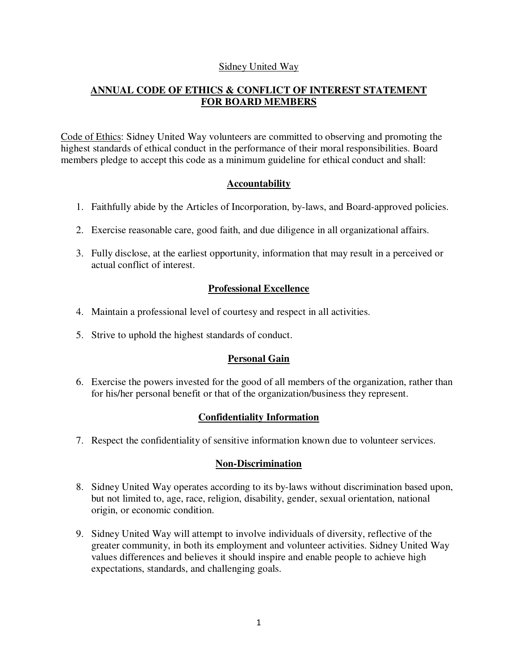## Sidney United Way

# **ANNUAL CODE OF ETHICS & CONFLICT OF INTEREST STATEMENT FOR BOARD MEMBERS**

Code of Ethics: Sidney United Way volunteers are committed to observing and promoting the highest standards of ethical conduct in the performance of their moral responsibilities. Board members pledge to accept this code as a minimum guideline for ethical conduct and shall:

## **Accountability**

- 1. Faithfully abide by the Articles of Incorporation, by-laws, and Board-approved policies.
- 2. Exercise reasonable care, good faith, and due diligence in all organizational affairs.
- 3. Fully disclose, at the earliest opportunity, information that may result in a perceived or actual conflict of interest.

# **Professional Excellence**

- 4. Maintain a professional level of courtesy and respect in all activities.
- 5. Strive to uphold the highest standards of conduct.

### **Personal Gain**

6. Exercise the powers invested for the good of all members of the organization, rather than for his/her personal benefit or that of the organization/business they represent.

### **Confidentiality Information**

7. Respect the confidentiality of sensitive information known due to volunteer services.

### **Non-Discrimination**

- 8. Sidney United Way operates according to its by-laws without discrimination based upon, but not limited to, age, race, religion, disability, gender, sexual orientation, national origin, or economic condition.
- 9. Sidney United Way will attempt to involve individuals of diversity, reflective of the greater community, in both its employment and volunteer activities. Sidney United Way values differences and believes it should inspire and enable people to achieve high expectations, standards, and challenging goals.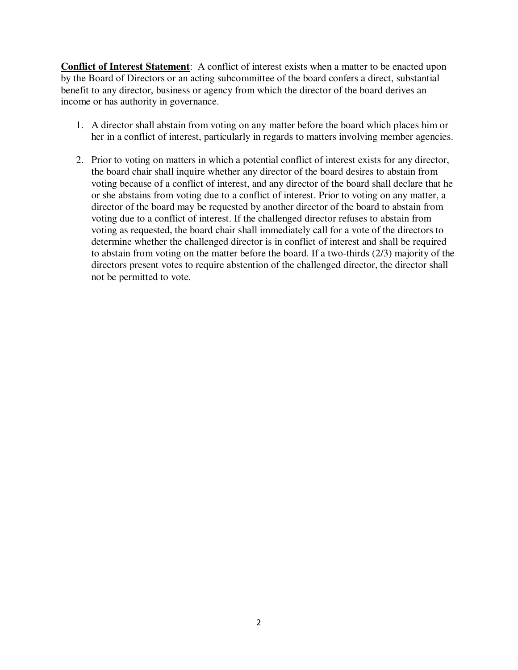**Conflict of Interest Statement**: A conflict of interest exists when a matter to be enacted upon by the Board of Directors or an acting subcommittee of the board confers a direct, substantial benefit to any director, business or agency from which the director of the board derives an income or has authority in governance.

- 1. A director shall abstain from voting on any matter before the board which places him or her in a conflict of interest, particularly in regards to matters involving member agencies.
- 2. Prior to voting on matters in which a potential conflict of interest exists for any director, the board chair shall inquire whether any director of the board desires to abstain from voting because of a conflict of interest, and any director of the board shall declare that he or she abstains from voting due to a conflict of interest. Prior to voting on any matter, a director of the board may be requested by another director of the board to abstain from voting due to a conflict of interest. If the challenged director refuses to abstain from voting as requested, the board chair shall immediately call for a vote of the directors to determine whether the challenged director is in conflict of interest and shall be required to abstain from voting on the matter before the board. If a two-thirds (2/3) majority of the directors present votes to require abstention of the challenged director, the director shall not be permitted to vote.